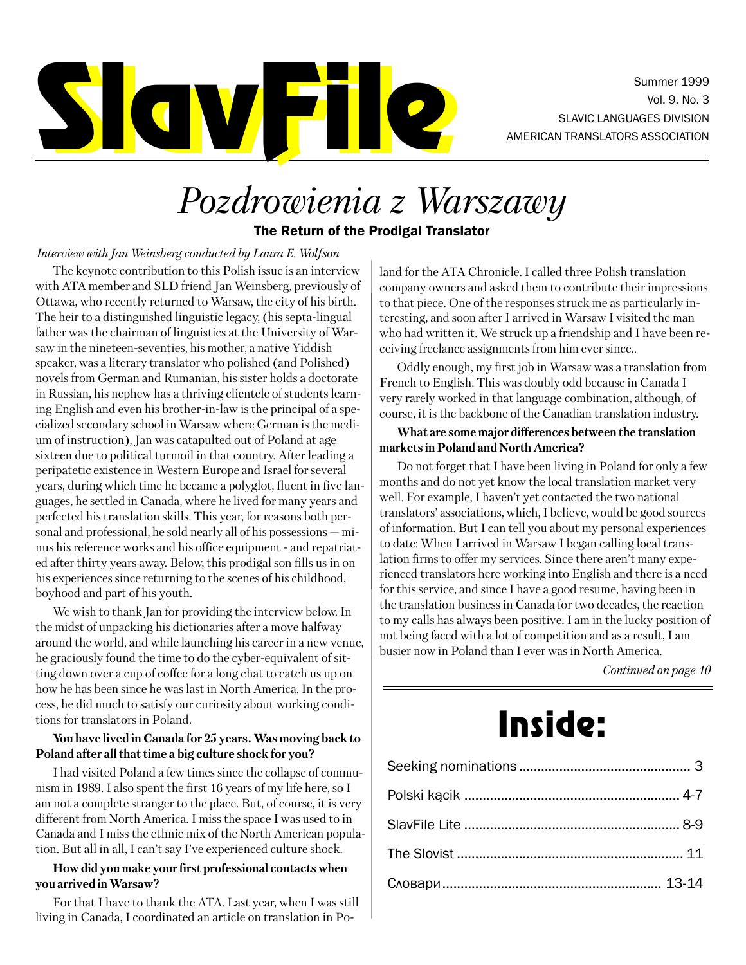

Summer 1999 Vol. 9, No. 3

# *Pozdrowienia z Warszawy*

The Return of the Prodigal Translator

#### *Interview with Jan Weinsberg conducted by Laura E. Wolfson*

The keynote contribution to this Polish issue is an interview with ATA member and SLD friend Jan Weinsberg, previously of Ottawa, who recently returned to Warsaw, the city of his birth. The heir to a distinguished linguistic legacy, (his septa-lingual father was the chairman of linguistics at the University of Warsaw in the nineteen-seventies, his mother, a native Yiddish speaker, was a literary translator who polished (and Polished) novels from German and Rumanian, his sister holds a doctorate in Russian, his nephew has a thriving clientele of students learning English and even his brother-in-law is the principal of a specialized secondary school in Warsaw where German is the medium of instruction), Jan was catapulted out of Poland at age sixteen due to political turmoil in that country. After leading a peripatetic existence in Western Europe and Israel for several years, during which time he became a polyglot, fluent in five languages, he settled in Canada, where he lived for many years and perfected his translation skills. This year, for reasons both personal and professional, he sold nearly all of his possessions – minus his reference works and his office equipment - and repatriated after thirty years away. Below, this prodigal son fills us in on his experiences since returning to the scenes of his childhood, boyhood and part of his youth.

We wish to thank Jan for providing the interview below. In the midst of unpacking his dictionaries after a move halfway around the world, and while launching his career in a new venue, he graciously found the time to do the cyber-equivalent of sitting down over a cup of coffee for a long chat to catch us up on how he has been since he was last in North America. In the process, he did much to satisfy our curiosity about working conditions for translators in Poland.

#### **You have lived in Canada for 25 years. Was moving back to Poland after all that time a big culture shock for you?**

I had visited Poland a few times since the collapse of communism in 1989. I also spent the first 16 years of my life here, so I am not a complete stranger to the place. But, of course, it is very different from North America. I miss the space I was used to in Canada and I miss the ethnic mix of the North American population. But all in all, I can't say I've experienced culture shock.

#### **How did you make your first professional contacts when you arrived in Warsaw?**

For that I have to thank the ATA. Last year, when I was still living in Canada, I coordinated an article on translation in Po-

land for the ATA Chronicle. I called three Polish translation company owners and asked them to contribute their impressions to that piece. One of the responses struck me as particularly interesting, and soon after I arrived in Warsaw I visited the man who had written it. We struck up a friendship and I have been receiving freelance assignments from him ever since..

Oddly enough, my first job in Warsaw was a translation from French to English. This was doubly odd because in Canada I very rarely worked in that language combination, although, of course, it is the backbone of the Canadian translation industry.

#### **What are some major differences between the translation markets in Poland and North America?**

Do not forget that I have been living in Poland for only a few months and do not yet know the local translation market very well. For example, I haven't yet contacted the two national translators' associations, which, I believe, would be good sources of information. But I can tell you about my personal experiences to date: When I arrived in Warsaw I began calling local translation firms to offer my services. Since there aren't many experienced translators here working into English and there is a need for this service, and since I have a good resume, having been in the translation business in Canada for two decades, the reaction to my calls has always been positive. I am in the lucky position of not being faced with a lot of competition and as a result, I am busier now in Poland than I ever was in North America.

*Continued on page 10*

# Inside: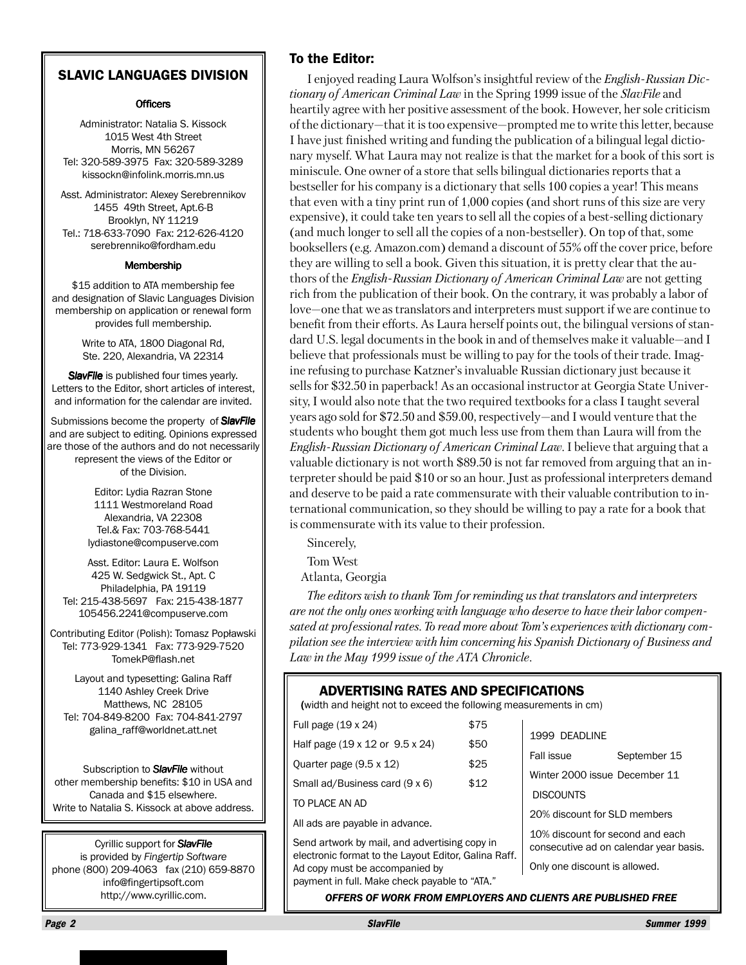### SLAVIC LANGUAGES DIVISION

#### **Officers**

Administrator: Natalia S. Kissock 1015 West 4th Street Morris, MN 56267 Tel: 320-589-3975 Fax: 320-589-3289 kissockn@infolink.morris.mn.us

Asst. Administrator: Alexey Serebrennikov 1455 49th Street, Apt.6-B Brooklyn, NY 11219 Tel.: 718-633-7090 Fax: 212-626-4120 serebrenniko@fordham.edu

#### Membership

\$15 addition to ATA membership fee and designation of Slavic Languages Division membership on application or renewal form provides full membership.

> Write to ATA, 1800 Diagonal Rd, Ste. 220, Alexandria, VA 22314

**SlavFile** is published four times yearly. Letters to the Editor, short articles of interest, and information for the calendar are invited.

Submissions become the property of *SlavFile* and are subject to editing. Opinions expressed are those of the authors and do not necessarily represent the views of the Editor or of the Division.

> Editor: Lydia Razran Stone 1111 Westmoreland Road Alexandria, VA 22308 Tel.& Fax: 703-768-5441 lydiastone@compuserve.com

Asst. Editor: Laura E. Wolfson 425 W. Sedgwick St., Apt. C Philadelphia, PA 19119 Tel: 215-438-5697 Fax: 215-438-1877 105456.2241@compuserve.com

Contributing Editor (Polish): Tomasz Popławski Tel: 773-929-1341 Fax: 773-929-7520 TomekP@flash.net

Layout and typesetting: Galina Raff 1140 Ashley Creek Drive Matthews, NC 28105 Tel: 704-849-8200 Fax: 704-841-2797 galina\_raff@worldnet.att.net

Subscription to *SlavFile* without other membership benefits: \$10 in USA and Canada and \$15 elsewhere. Write to Natalia S. Kissock at above address.

Cyrillic support for *SlavFile* is provided by *Fingertip Software* phone (800) 209-4063 fax (210) 659-8870 info@fingertipsoft.com http://www.cyrillic.com.

#### To the Editor:

I enjoyed reading Laura Wolfson's insightful review of the *English-Russian Dictionary of American Criminal Law* in the Spring 1999 issue of the *SlavFile* and heartily agree with her positive assessment of the book. However, her sole criticism of the dictionary–that it is too expensive–prompted me to write this letter, because I have just finished writing and funding the publication of a bilingual legal dictionary myself. What Laura may not realize is that the market for a book of this sort is miniscule. One owner of a store that sells bilingual dictionaries reports that a bestseller for his company is a dictionary that sells 100 copies a year! This means that even with a tiny print run of 1,000 copies (and short runs of this size are very expensive), it could take ten years to sell all the copies of a best-selling dictionary (and much longer to sell all the copies of a non-bestseller). On top of that, some booksellers (e.g. Amazon.com) demand a discount of 55% off the cover price, before they are willing to sell a book. Given this situation, it is pretty clear that the authors of the *English-Russian Dictionary of American Criminal Law* are not getting rich from the publication of their book. On the contrary, it was probably a labor of love–one that we as translators and interpreters must support if we are continue to benefit from their efforts. As Laura herself points out, the bilingual versions of standard U.S. legal documents in the book in and of themselves make it valuable–and I believe that professionals must be willing to pay for the tools of their trade. Imagine refusing to purchase Katzner's invaluable Russian dictionary just because it sells for \$32.50 in paperback! As an occasional instructor at Georgia State University, I would also note that the two required textbooks for a class I taught several years ago sold for \$72.50 and \$59.00, respectively–and I would venture that the students who bought them got much less use from them than Laura will from the *English-Russian Dictionary of American Criminal Law*. I believe that arguing that a valuable dictionary is not worth \$89.50 is not far removed from arguing that an interpreter should be paid \$10 or so an hour. Just as professional interpreters demand and deserve to be paid a rate commensurate with their valuable contribution to international communication, so they should be willing to pay a rate for a book that is commensurate with its value to their profession.

Sincerely,

Tom West

Atlanta, Georgia

*The editors wish to thank Tom for reminding us that translators and interpreters are not the only ones working with language who deserve to have their labor compensated at professional rates. To read more about Tom's experiences with dictionary compilation see the interview with him concerning his Spanish Dictionary of Business and Law in the May 1999 issue of the ATA Chronicle.*

#### ADVERTISING RATES AND SPECIFICATIONS

(width and height not to exceed the following measurements in cm) (

| Full page $(19 \times 24)$      | \$75 |
|---------------------------------|------|
| Half page (19 x 12 or 9.5 x 24) | \$50 |
| Ouarter page $(9.5 \times 12)$  | \$25 |
| Small ad/Business card (9 x 6)  | \$12 |
| TO PLACE AN AD                  |      |

All ads are payable in advance.

Send artwork by mail, and advertising copy in electronic format to the Layout Editor, Galina Raff. Ad copy must be accompanied by payment in full. Make check payable to "ATA."

Fall issue September 15 Winter 2000 issue December 11 **DISCOUNTS** 20% discount for SLD members 10% discount for second and each consecutive ad on calendar year basis.

Only one discount is allowed.

1999 DEADLINE

*OFFERS OF WORK FROM EMPLOYERS AND CLIENTS ARE PUBLISHED FREE*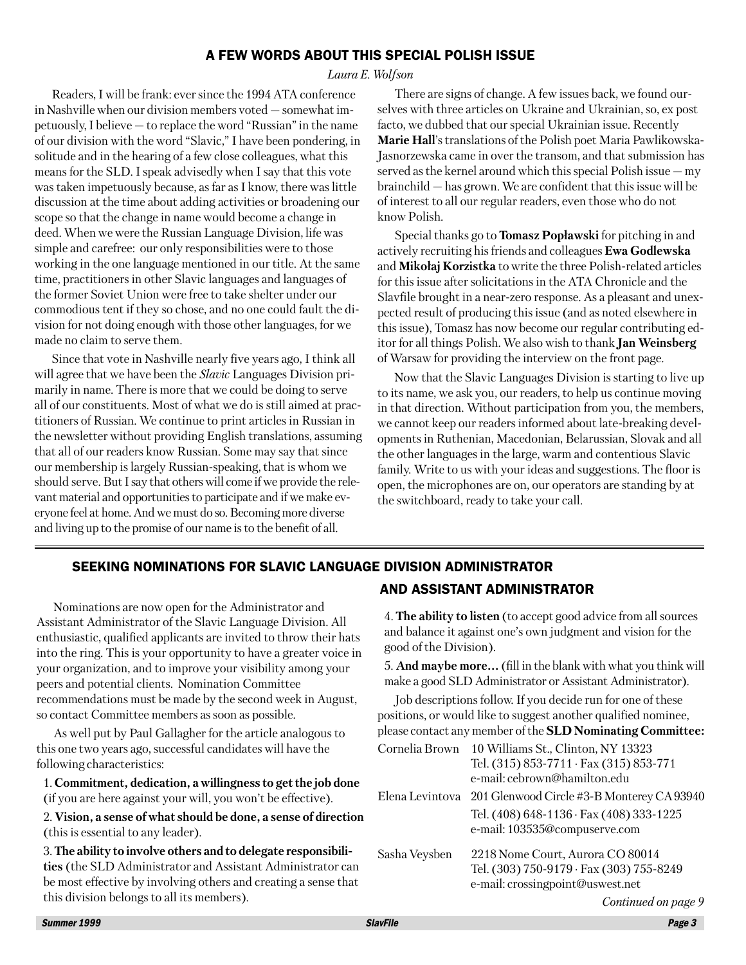## A FEW WORDS ABOUT THIS SPECIAL POLISH ISSUE

#### *Laura E. Wolfson*

Readers, I will be frank: ever since the 1994 ATA conference in Nashville when our division members voted – somewhat impetuously, I believe – to replace the word "Russian" in the name of our division with the word "Slavic," I have been pondering, in solitude and in the hearing of a few close colleagues, what this means for the SLD. I speak advisedly when I say that this vote was taken impetuously because, as far as I know, there was little discussion at the time about adding activities or broadening our scope so that the change in name would become a change in deed. When we were the Russian Language Division, life was simple and carefree: our only responsibilities were to those working in the one language mentioned in our title. At the same time, practitioners in other Slavic languages and languages of the former Soviet Union were free to take shelter under our commodious tent if they so chose, and no one could fault the division for not doing enough with those other languages, for we made no claim to serve them.

Since that vote in Nashville nearly five years ago, I think all will agree that we have been the *Slavic* Languages Division primarily in name. There is more that we could be doing to serve all of our constituents. Most of what we do is still aimed at practitioners of Russian. We continue to print articles in Russian in the newsletter without providing English translations, assuming that all of our readers know Russian. Some may say that since our membership is largely Russian-speaking, that is whom we should serve. But I say that others will come if we provide the relevant material and opportunities to participate and if we make everyone feel at home. And we must do so. Becoming more diverse and living up to the promise of our name is to the benefit of all.

There are signs of change. A few issues back, we found ourselves with three articles on Ukraine and Ukrainian, so, ex post facto, we dubbed that our special Ukrainian issue. Recently **Marie Hall**'s translations of the Polish poet Maria Pawlikowska-Jasnorzewska came in over the transom, and that submission has served as the kernel around which this special Polish issue – my brainchild – has grown. We are confident that this issue will be of interest to all our regular readers, even those who do not know Polish.

Special thanks go to **Tomasz Popławski** for pitching in and actively recruiting his friends and colleagues **Ewa Godlewska** and **Mikołaj Korzistka** to write the three Polish-related articles for this issue after solicitations in the ATA Chronicle and the Slavfile brought in a near-zero response. As a pleasant and unexpected result of producing this issue (and as noted elsewhere in this issue), Tomasz has now become our regular contributing editor for all things Polish. We also wish to thank **Jan Weinsberg** of Warsaw for providing the interview on the front page.

Now that the Slavic Languages Division is starting to live up to its name, we ask you, our readers, to help us continue moving in that direction. Without participation from you, the members, we cannot keep our readers informed about late-breaking developments in Ruthenian, Macedonian, Belarussian, Slovak and all the other languages in the large, warm and contentious Slavic family. Write to us with your ideas and suggestions. The floor is open, the microphones are on, our operators are standing by at the switchboard, ready to take your call.

## SEEKING NOMINATIONS FOR SLAVIC LANGUAGE DIVISION ADMINISTRATOR

Nominations are now open for the Administrator and Assistant Administrator of the Slavic Language Division. All enthusiastic, qualified applicants are invited to throw their hats into the ring. This is your opportunity to have a greater voice in your organization, and to improve your visibility among your peers and potential clients. Nomination Committee recommendations must be made by the second week in August, so contact Committee members as soon as possible.

As well put by Paul Gallagher for the article analogous to this one two years ago, successful candidates will have the following characteristics:

1. **Commitment, dedication, a willingness to get the job done** (if you are here against your will, you won't be effective).

2. **Vision, a sense of what should be done, a sense of direction** (this is essential to any leader).

3. **The ability to involve others and to delegate responsibilities** (the SLD Administrator and Assistant Administrator can be most effective by involving others and creating a sense that this division belongs to all its members).

## AND ASSISTANT ADMINISTRATOR

4. **The ability to listen** (to accept good advice from all sources and balance it against one's own judgment and vision for the good of the Division).

5. **And maybe more…** (fill in the blank with what you think will make a good SLD Administrator or Assistant Administrator).

Job descriptions follow. If you decide run for one of these positions, or would like to suggest another qualified nominee, please contact any member of the **SLD Nominating Committee:**

| Cornelia Brown | 10 Williams St., Clinton, NY 13323<br>Tel. (315) 853-7711 · Fax (315) 853-771<br>e-mail: cebrown@hamilton.edu    |
|----------------|------------------------------------------------------------------------------------------------------------------|
|                | Elena Levintova 201 Glenwood Circle #3-B Monterey CA 93940                                                       |
|                | Tel. (408) 648-1136 · Fax (408) 333-1225<br>e-mail: 103535@compuserve.com                                        |
| Sasha Veysben  | 2218 Nome Court, Aurora CO 80014<br>Tel. (303) 750-9179 · Fax (303) 755-8249<br>e-mail: crossingpoint@uswest.net |

*Continued on page 9*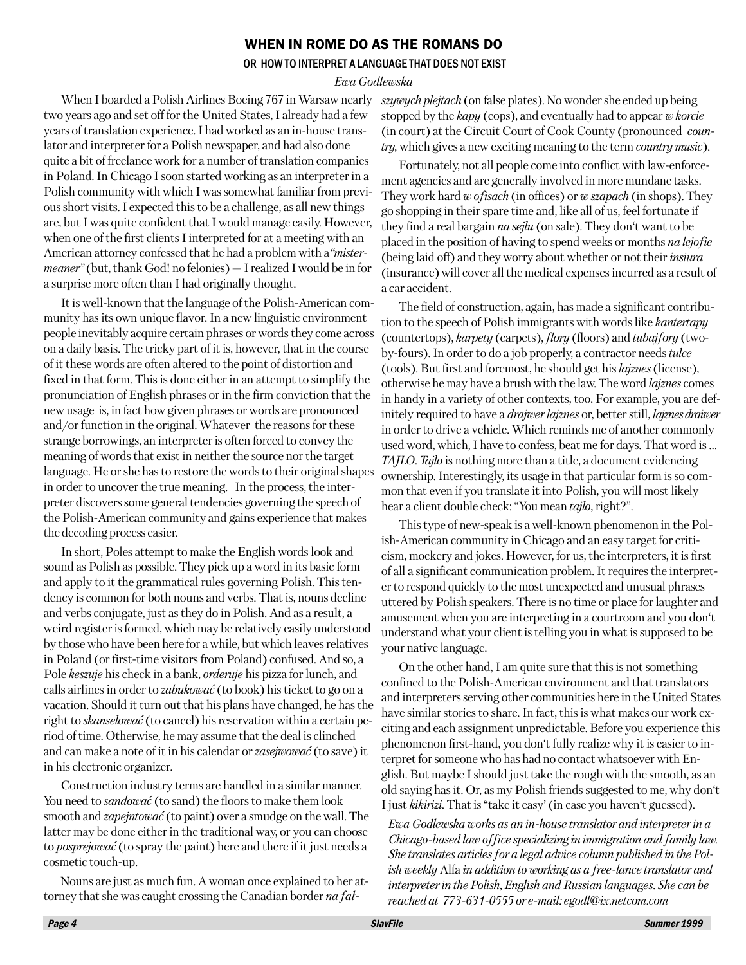#### WHEN IN ROME DO AS THE ROMANS DO

#### OR HOW TO INTERPRET A LANGUAGE THAT DOES NOT EXIST

#### *Ewa Godlewska*

When I boarded a Polish Airlines Boeing 767 in Warsaw nearly two years ago and set off for the United States, I already had a few years of translation experience. I had worked as an in-house translator and interpreter for a Polish newspaper, and had also done quite a bit of freelance work for a number of translation companies in Poland. In Chicago I soon started working as an interpreter in a Polish community with which I was somewhat familiar from previous short visits. I expected this to be a challenge, as all new things are, but I was quite confident that I would manage easily. However, when one of the first clients I interpreted for at a meeting with an American attorney confessed that he had a problem with a*"mistermeaner"* (but, thank God! no felonies) – I realized I would be in for a surprise more often than I had originally thought.

It is well-known that the language of the Polish-American community has its own unique flavor. In a new linguistic environment people inevitably acquire certain phrases or words they come across on a daily basis. The tricky part of it is, however, that in the course of it these words are often altered to the point of distortion and fixed in that form. This is done either in an attempt to simplify the pronunciation of English phrases or in the firm conviction that the new usage is, in fact how given phrases or words are pronounced and/or function in the original. Whatever the reasons for these strange borrowings, an interpreter is often forced to convey the meaning of words that exist in neither the source nor the target language. He or she has to restore the words to their original shapes in order to uncover the true meaning. In the process, the interpreter discovers some general tendencies governing the speech of the Polish-American community and gains experience that makes the decoding process easier.

In short, Poles attempt to make the English words look and sound as Polish as possible. They pick up a word in its basic form and apply to it the grammatical rules governing Polish. This tendency is common for both nouns and verbs. That is, nouns decline and verbs conjugate, just as they do in Polish. And as a result, a weird register is formed, which may be relatively easily understood by those who have been here for a while, but which leaves relatives in Poland (or first-time visitors from Poland) confused. And so, a Pole *keszuje* his check in a bank, *orderuje* his pizza for lunch, and calls airlines in order to *zabukować* (to book) his ticket to go on a vacation. Should it turn out that his plans have changed, he has the right to *skanselować* (to cancel) his reservation within a certain period of time. Otherwise, he may assume that the deal is clinched and can make a note of it in his calendar or *zasejwować* (to save) it in his electronic organizer.

Construction industry terms are handled in a similar manner. You need to *sandować* (to sand) the floors to make them look smooth and *zapejntować* (to paint) over a smudge on the wall. The latter may be done either in the traditional way, or you can choose to *posprejować* (to spray the paint) here and there if it just needs a cosmetic touch-up.

Nouns are just as much fun. A woman once explained to her attorney that she was caught crossing the Canadian border *na fał-* *szywych plejtach* (on false plates). No wonder she ended up being stopped by the *kapy* (cops), and eventually had to appear *w korcie* (in court) at the Circuit Court of Cook County (pronounced *country,* which gives a new exciting meaning to the term *country music*).

Fortunately, not all people come into conflict with law-enforcement agencies and are generally involved in more mundane tasks. They work hard *w ofisach* (in offices) or *w szapach* (in shops). They go shopping in their spare time and, like all of us, feel fortunate if they find a real bargain *na sejlu* (on sale). They don't want to be placed in the position of having to spend weeks or months *na lejofie* (being laid off) and they worry about whether or not their *insiura* (insurance) will cover all the medical expenses incurred as a result of a car accident.

The field of construction, again, has made a significant contribution to the speech of Polish immigrants with words like *kantertapy* (countertops), *karpety* (carpets), *flory* (floors) and *tubajfory* (twoby-fours). In order to do a job properly, a contractor needs *tulce* (tools). But first and foremost, he should get his *lajznes* (license), otherwise he may have a brush with the law. The word *lajznes* comes in handy in a variety of other contexts, too. For example, you are definitely required to have a *drajwer lajznes* or, better still, *lajznes draiwer* in order to drive a vehicle. Which reminds me of another commonly used word, which, I have to confess, beat me for days. That word is … *TAJLO*. *Tajlo* is nothing more than a title, a document evidencing ownership. Interestingly, its usage in that particular form is so common that even if you translate it into Polish, you will most likely hear a client double check: "You mean *tajlo*, right?".

This type of new-speak is a well-known phenomenon in the Polish-American community in Chicago and an easy target for criticism, mockery and jokes. However, for us, the interpreters, it is first of all a significant communication problem. It requires the interpreter to respond quickly to the most unexpected and unusual phrases uttered by Polish speakers. There is no time or place for laughter and amusement when you are interpreting in a courtroom and you don't understand what your client is telling you in what is supposed to be your native language.

On the other hand, I am quite sure that this is not something confined to the Polish-American environment and that translators and interpreters serving other communities here in the United States have similar stories to share. In fact, this is what makes our work exciting and each assignment unpredictable. Before you experience this phenomenon first-hand, you don't fully realize why it is easier to interpret for someone who has had no contact whatsoever with English. But maybe I should just take the rough with the smooth, as an old saying has it. Or, as my Polish friends suggested to me, why don't I just *kikirizi.* That is "take it easy' (in case you haven't guessed).

*Ewa Godlewska works as an in-house translator and interpreter in a Chicago-based law office specializing in immigration and family law. She translates articles for a legal advice column published in the Polish weekly* Alfa *in addition to working as a free-lance translator and interpreter in the Polish, English and Russian languages. She can be reached at 773-631-0555 or e-mail: egodl@ix.netcom.com*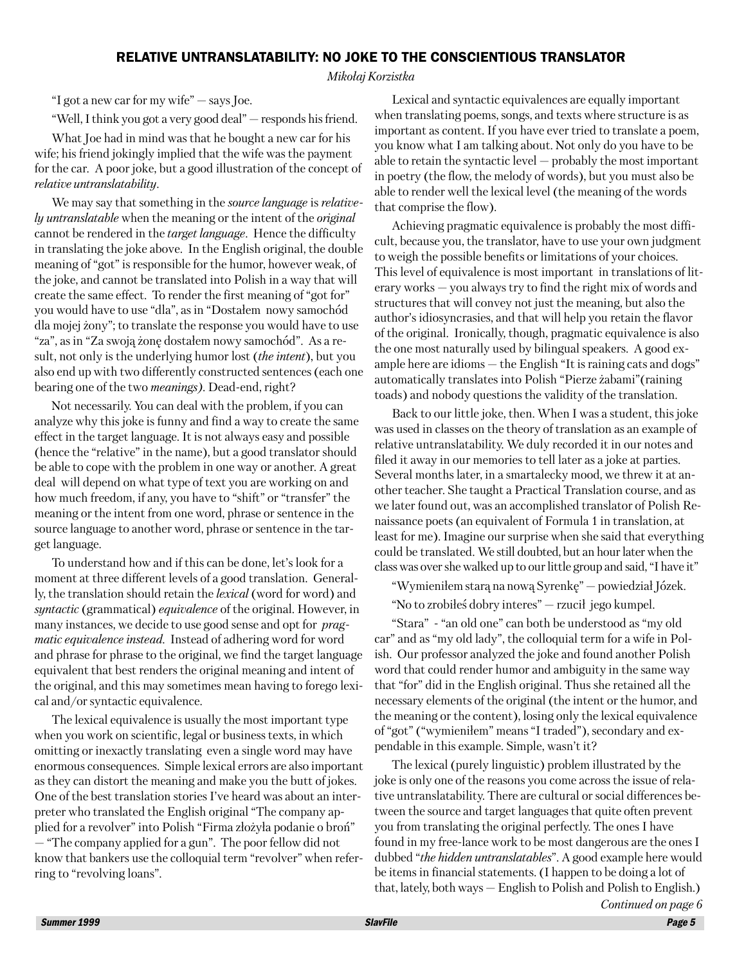#### RELATIVE UNTRANSLATABILITY: NO JOKE TO THE CONSCIENTIOUS TRANSLATOR

*Mikołaj Korzistka*

"I got a new car for my wife" – says Joe.

"Well, I think you got a very good deal" – responds his friend.

What Joe had in mind was that he bought a new car for his wife; his friend jokingly implied that the wife was the payment for the car. A poor joke, but a good illustration of the concept of *relative untranslatability*.

We may say that something in the *source language* is *relatively untranslatable* when the meaning or the intent of the *original* cannot be rendered in the *target language*. Hence the difficulty in translating the joke above. In the English original, the double meaning of "got" is responsible for the humor, however weak, of the joke, and cannot be translated into Polish in a way that will create the same effect. To render the first meaning of "got for" you would have to use "dla", as in "Dostałem nowy samochód dla mojej żony"; to translate the response you would have to use "za", as in "Za swoją żonę dostałem nowy samochód". As a result, not only is the underlying humor lost (*the intent*), but you also end up with two differently constructed sentences (each one bearing one of the two *meanings)*. Dead-end, right?

Not necessarily. You can deal with the problem, if you can analyze why this joke is funny and find a way to create the same effect in the target language. It is not always easy and possible (hence the "relative" in the name), but a good translator should be able to cope with the problem in one way or another. A great deal will depend on what type of text you are working on and how much freedom, if any, you have to "shift" or "transfer" the meaning or the intent from one word, phrase or sentence in the source language to another word, phrase or sentence in the target language.

To understand how and if this can be done, let's look for a moment at three different levels of a good translation. Generally, the translation should retain the *lexical* (word for word) and *syntactic* (grammatical) *equivalence* of the original. However, in many instances, we decide to use good sense and opt for *pragmatic equivalence instead.* Instead of adhering word for word and phrase for phrase to the original, we find the target language equivalent that best renders the original meaning and intent of the original, and this may sometimes mean having to forego lexical and/or syntactic equivalence.

The lexical equivalence is usually the most important type when you work on scientific, legal or business texts, in which omitting or inexactly translating even a single word may have enormous consequences. Simple lexical errors are also important as they can distort the meaning and make you the butt of jokes. One of the best translation stories I've heard was about an interpreter who translated the English original "The company applied for a revolver" into Polish "Firma złożyła podanie o broń" – "The company applied for a gun". The poor fellow did not

know that bankers use the colloquial term "revolver" when referring to "revolving loans".

Lexical and syntactic equivalences are equally important when translating poems, songs, and texts where structure is as important as content. If you have ever tried to translate a poem, you know what I am talking about. Not only do you have to be able to retain the syntactic level – probably the most important in poetry (the flow, the melody of words), but you must also be able to render well the lexical level (the meaning of the words that comprise the flow).

Achieving pragmatic equivalence is probably the most difficult, because you, the translator, have to use your own judgment to weigh the possible benefits or limitations of your choices. This level of equivalence is most important in translations of literary works – you always try to find the right mix of words and structures that will convey not just the meaning, but also the author's idiosyncrasies, and that will help you retain the flavor of the original. Ironically, though, pragmatic equivalence is also the one most naturally used by bilingual speakers. A good example here are idioms – the English "It is raining cats and dogs" automatically translates into Polish "Pierze żabami"(raining toads) and nobody questions the validity of the translation.

Back to our little joke, then. When I was a student, this joke was used in classes on the theory of translation as an example of relative untranslatability. We duly recorded it in our notes and filed it away in our memories to tell later as a joke at parties. Several months later, in a smartalecky mood, we threw it at another teacher. She taught a Practical Translation course, and as we later found out, was an accomplished translator of Polish Renaissance poets (an equivalent of Formula 1 in translation, at least for me). Imagine our surprise when she said that everything could be translated. We still doubted, but an hour later when the class was over she walked up to our little group and said, "I have it"

"Wymieniłem starą na nową Syrenkę" – powiedział Józek. "No to zrobiłeś dobry interes" – rzucił jego kumpel.

"Stara" - "an old one" can both be understood as "my old car" and as "my old lady", the colloquial term for a wife in Polish. Our professor analyzed the joke and found another Polish word that could render humor and ambiguity in the same way that "for" did in the English original. Thus she retained all the necessary elements of the original (the intent or the humor, and the meaning or the content), losing only the lexical equivalence of "got" ("wymieniłem" means "I traded"), secondary and expendable in this example. Simple, wasn't it?

The lexical (purely linguistic) problem illustrated by the joke is only one of the reasons you come across the issue of relative untranslatability. There are cultural or social differences between the source and target languages that quite often prevent you from translating the original perfectly. The ones I have found in my free-lance work to be most dangerous are the ones I dubbed "*the hidden untranslatables*". A good example here would be items in financial statements. (I happen to be doing a lot of that, lately, both ways – English to Polish and Polish to English.) *Continued on page 6*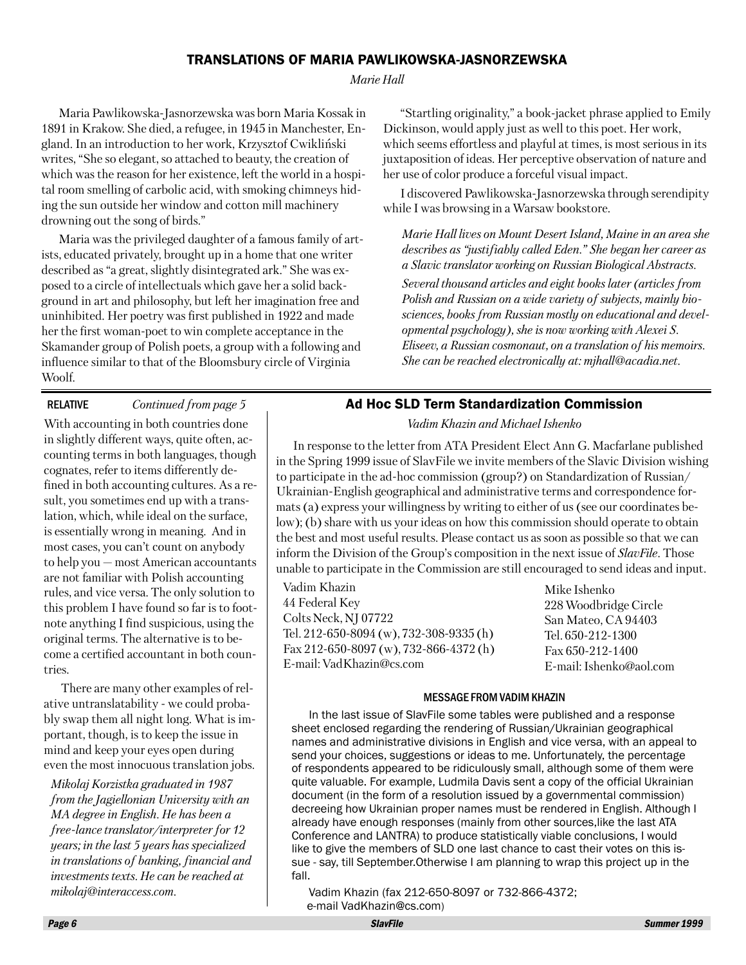#### TRANSLATIONS OF MARIA PAWLIKOWSKA-JASNORZEWSKA

#### *Marie Hall*

Maria Pawlikowska-Jasnorzewska was born Maria Kossak in 1891 in Krakow. She died, a refugee, in 1945 in Manchester, England. In an introduction to her work, Krzysztof Cwikliński writes, "She so elegant, so attached to beauty, the creation of which was the reason for her existence, left the world in a hospital room smelling of carbolic acid, with smoking chimneys hiding the sun outside her window and cotton mill machinery drowning out the song of birds."

Maria was the privileged daughter of a famous family of artists, educated privately, brought up in a home that one writer described as "a great, slightly disintegrated ark." She was exposed to a circle of intellectuals which gave her a solid background in art and philosophy, but left her imagination free and uninhibited. Her poetry was first published in 1922 and made her the first woman-poet to win complete acceptance in the Skamander group of Polish poets, a group with a following and influence similar to that of the Bloomsbury circle of Virginia Woolf.

#### RELATIVE *Continued from page 5*

With accounting in both countries done in slightly different ways, quite often, accounting terms in both languages, though cognates, refer to items differently defined in both accounting cultures. As a result, you sometimes end up with a translation, which, while ideal on the surface, is essentially wrong in meaning. And in most cases, you can't count on anybody to help you – most American accountants are not familiar with Polish accounting rules, and vice versa. The only solution to this problem I have found so far is to footnote anything I find suspicious, using the original terms. The alternative is to become a certified accountant in both countries.

There are many other examples of relative untranslatability - we could probably swap them all night long. What is important, though, is to keep the issue in mind and keep your eyes open during even the most innocuous translation jobs.

*Mikolaj Korzistka graduated in 1987 from the Jagiellonian University with an MA degree in English. He has been a free-lance translator/interpreter for 12 years; in the last 5 years has specialized in translations of banking, financial and investments texts. He can be reached at mikolaj@interaccess.com*.

"Startling originality," a book-jacket phrase applied to Emily Dickinson, would apply just as well to this poet. Her work, which seems effortless and playful at times, is most serious in its juxtaposition of ideas. Her perceptive observation of nature and her use of color produce a forceful visual impact.

I discovered Pawlikowska-Jasnorzewska through serendipity while I was browsing in a Warsaw bookstore.

*Marie Hall lives on Mount Desert Island, Maine in an area she describes as "justifiably called Eden." She began her career as a Slavic translator working on Russian Biological Abstracts. Several thousand articles and eight books later (articles from Polish and Russian on a wide variety of subjects, mainly biosciences, books from Russian mostly on educational and developmental psychology), she is now working with Alexei S. Eliseev, a Russian cosmonaut, on a translation of his memoirs. She can be reached electronically at: mjhall@acadia.net.*

## Ad Hoc SLD Term Standardization Commission

*Vadim Khazin and Michael Ishenko*

In response to the letter from ATA President Elect Ann G. Macfarlane published in the Spring 1999 issue of SlavFile we invite members of the Slavic Division wishing to participate in the ad-hoc commission (group?) on Standardization of Russian/ Ukrainian-English geographical and administrative terms and correspondence formats (a) express your willingness by writing to either of us (see our coordinates below); (b) share with us your ideas on how this commission should operate to obtain the best and most useful results. Please contact us as soon as possible so that we can inform the Division of the Group's composition in the next issue of *SlavFile*. Those unable to participate in the Commission are still encouraged to send ideas and input.

Vadim Khazin 44 Federal Key Colts Neck, NJ 07722 Tel. 212-650-8094 (w), 732-308-9335 (h) Fax 212-650-8097 (w), 732-866-4372 (h) E-mail: VadKhazin@cs.com

Mike Ishenko 228 Woodbridge Circle San Mateo, CA 94403 Tel. 650-212-1300 Fax 650-212-1400 E-mail: Ishenko@aol.com

#### MESSAGE FROM VADIM KHAZIN

In the last issue of SlavFile some tables were published and a response sheet enclosed regarding the rendering of Russian/Ukrainian geographical names and administrative divisions in English and vice versa, with an appeal to send your choices, suggestions or ideas to me. Unfortunately, the percentage of respondents appeared to be ridiculously small, although some of them were quite valuable. For example, Ludmila Davis sent a copy of the official Ukrainian document (in the form of a resolution issued by a governmental commission) decreeing how Ukrainian proper names must be rendered in English. Although I already have enough responses (mainly from other sources,like the last ATA Conference and LANTRA) to produce statistically viable conclusions, I would like to give the members of SLD one last chance to cast their votes on this issue - say, till September.Otherwise I am planning to wrap this project up in the fall.

Vadim Khazin (fax 212-650-8097 or 732-866-4372; e-mail VadKhazin@cs.com)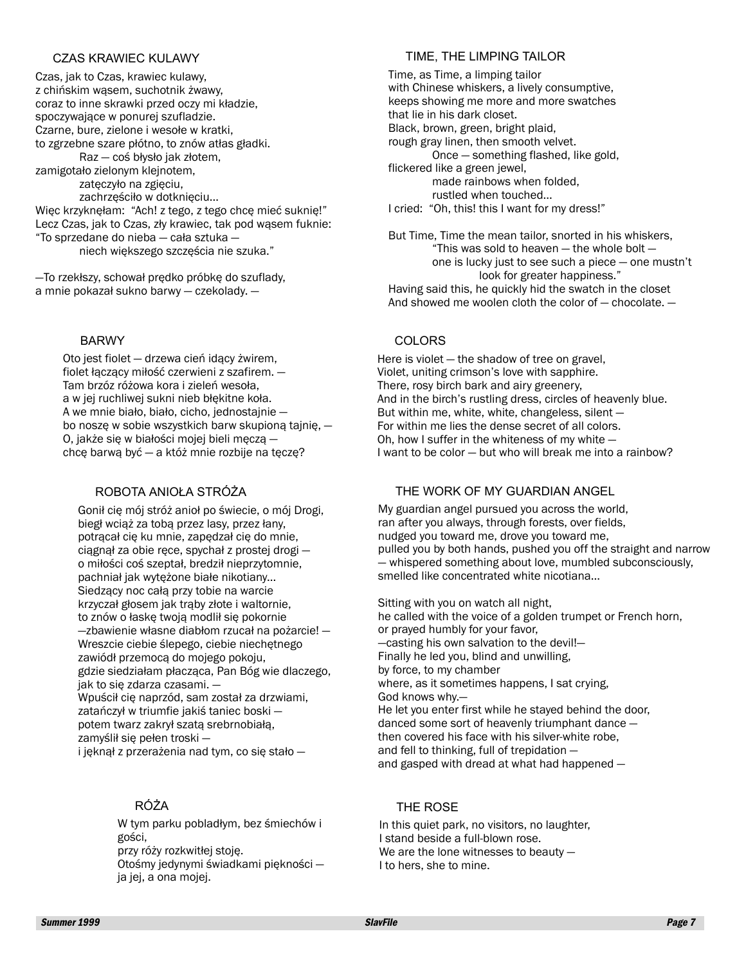#### CZAS KRAWIEC KULAWY

Czas, jak to Czas, krawiec kulawy, z chińskim wąsem, suchotnik żwawy, coraz to inne skrawki przed oczy mi kładzie, spoczywające w ponurej szufladzie. Czarne, bure, zielone i wesołe w kratki, to zgrzebne szare płótno, to znów atłas gładki. Raz — coś błysło jak złotem, zamigotało zielonym klejnotem, zatęczyło na zgięciu, zachrzęściło w dotknięciu... Więc krzyknęłam: "Ach! z tego, z tego chcę mieć suknię!" Lecz Czas, jak to Czas, zły krawiec, tak pod wąsem fuknie: "To sprzedane do nieba — cała sztuka niech większego szczęścia nie szuka."

—To rzekłszy, schował prędko próbkę do szuflady, a mnie pokazał sukno barwy — czekolady. —

#### BARWY

Oto jest fiolet — drzewa cień idący żwirem, fiolet łączący miłość czerwieni z szafirem. — Tam brzóz różowa kora i zieleń wesoła, a w jej ruchliwej sukni nieb błękitne koła. A we mnie biało, biało, cicho, jednostajnie bo noszę w sobie wszystkich barw skupioną tajnię, — O, jakże się w białości mojej bieli męczą chcę barwą być — a któż mnie rozbije na tęczę?

#### ROBOTA ANIOŁA STRÓŻA

Gonił cię mój stróż anioł po świecie, o mój Drogi, biegł wciąż za tobą przez lasy, przez łany, potrącał cię ku mnie, zapędzał cię do mnie, ciągnął za obie ręce, spychał z prostej drogi o miłości coś szeptał, bredził nieprzytomnie, pachniał jak wytężone białe nikotiany... Siedzący noc całą przy tobie na warcie krzyczał głosem jak trąby złote i waltornie, to znów o łaskę twoją modlił się pokornie —zbawienie własne diabłom rzucał na pożarcie! — Wreszcie ciebie ślepego, ciebie niechętnego zawiódł przemocą do mojego pokoju, gdzie siedziałam płacząca, Pan Bóg wie dlaczego, jak to się zdarza czasami. — Wpuścił cię naprzód, sam został za drzwiami, zatańczył w triumfie jakiś taniec boski potem twarz zakrył szatą srebrnobiałą, zamyślił się pełen troski i jęknął z przerażenia nad tym, co się stało —

#### RÓŻA

W tym parku pobladłym, bez śmiechów i gości, przy róży rozkwitłej stoję. Otośmy jedynymi świadkami piękności ja jej, a ona mojej.

#### TIME, THE LIMPING TAILOR

Time, as Time, a limping tailor with Chinese whiskers, a lively consumptive, keeps showing me more and more swatches that lie in his dark closet. Black, brown, green, bright plaid, rough gray linen, then smooth velvet. Once — something flashed, like gold, flickered like a green jewel, made rainbows when folded, rustled when touched... I cried: "Oh, this! this I want for my dress!"

But Time, Time the mean tailor, snorted in his whiskers, "This was sold to heaven — the whole bolt one is lucky just to see such a piece — one mustn't look for greater happiness." Having said this, he quickly hid the swatch in the closet And showed me woolen cloth the color of — chocolate. —

#### COLORS

Here is violet — the shadow of tree on gravel, Violet, uniting crimson's love with sapphire. There, rosy birch bark and airy greenery, And in the birch's rustling dress, circles of heavenly blue. But within me, white, white, changeless, silent — For within me lies the dense secret of all colors. Oh, how I suffer in the whiteness of my white — I want to be color — but who will break me into a rainbow?

#### THE WORK OF MY GUARDIAN ANGEL

My guardian angel pursued you across the world, ran after you always, through forests, over fields, nudged you toward me, drove you toward me, pulled you by both hands, pushed you off the straight and narrow — whispered something about love, mumbled subconsciously, smelled like concentrated white nicotiana...

Sitting with you on watch all night, he called with the voice of a golden trumpet or French horn, or prayed humbly for your favor, —casting his own salvation to the devil!— Finally he led you, blind and unwilling, by force, to my chamber where, as it sometimes happens, I sat crying, God knows why.— He let you enter first while he stayed behind the door, danced some sort of heavenly triumphant dance then covered his face with his silver-white robe, and fell to thinking, full of trepidation and gasped with dread at what had happened —

#### THE ROSE

In this quiet park, no visitors, no laughter, I stand beside a full-blown rose. We are the lone witnesses to beauty — I to hers, she to mine.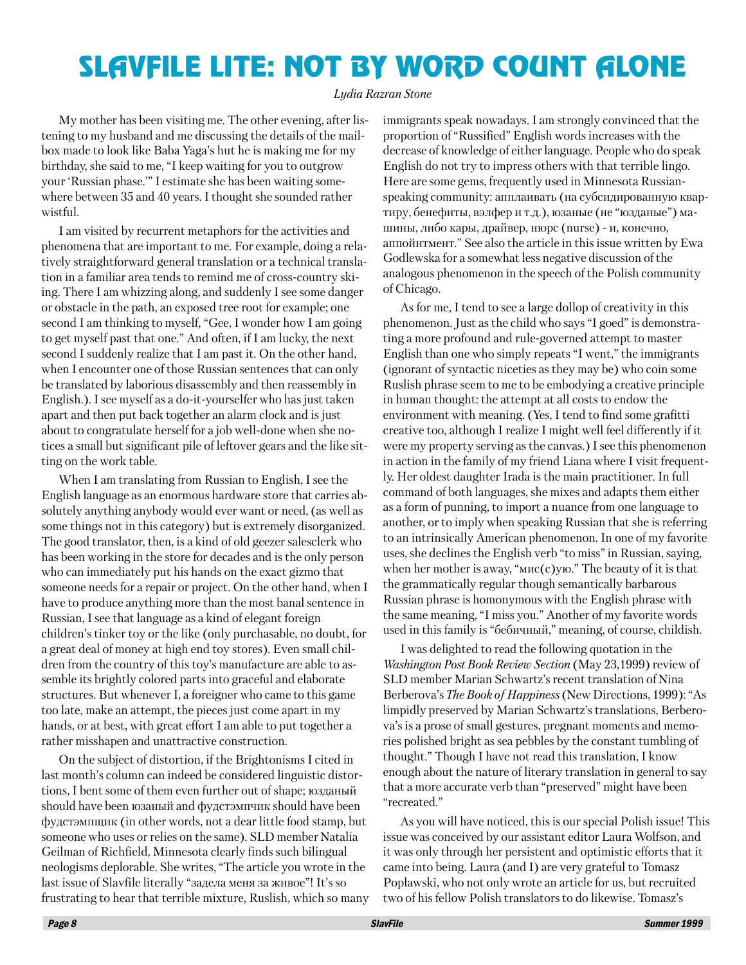## SLAVFILE LITE: NOT BY WORD COUNT ALONE

#### *Lydia Razran Stone*

My mother has been visiting me. The other evening, after listening to my husband and me discussing the details of the mailbox made to look like Baba Yaga's hut he is making me for my birthday, she said to me, "I keep waiting for you to outgrow your 'Russian phase.'" I estimate she has been waiting somewhere between 35 and 40 years. I thought she sounded rather wistful.

I am visited by recurrent metaphors for the activities and phenomena that are important to me. For example, doing a relatively straightforward general translation or a technical translation in a familiar area tends to remind me of cross-country skiing. There I am whizzing along, and suddenly I see some danger or obstacle in the path, an exposed tree root for example; one second I am thinking to myself, "Gee, I wonder how I am going to get myself past that one." And often, if I am lucky, the next second I suddenly realize that I am past it. On the other hand, when I encounter one of those Russian sentences that can only be translated by laborious disassembly and then reassembly in English.). I see myself as a do-it-yourselfer who has just taken apart and then put back together an alarm clock and is just about to congratulate herself for a job well-done when she notices a small but significant pile of leftover gears and the like sitting on the work table.

When I am translating from Russian to English, I see the English language as an enormous hardware store that carries absolutely anything anybody would ever want or need, (as well as some things not in this category) but is extremely disorganized. The good translator, then, is a kind of old geezer salesclerk who has been working in the store for decades and is the only person who can immediately put his hands on the exact gizmo that someone needs for a repair or project. On the other hand, when I have to produce anything more than the most banal sentence in Russian, I see that language as a kind of elegant foreign children's tinker toy or the like (only purchasable, no doubt, for a great deal of money at high end toy stores). Even small children from the country of this toy's manufacture are able to assemble its brightly colored parts into graceful and elaborate structures. But whenever I, a foreigner who came to this game too late, make an attempt, the pieces just come apart in my hands, or at best, with great effort I am able to put together a rather misshapen and unattractive construction.

On the subject of distortion, if the Brightonisms I cited in last month's column can indeed be considered linguistic distortions, I bent some of them even further out of shape; юзданый should have been юзаный and фудстэмпчик should have been фудстэмпщик (in other words, not a dear little food stamp, but someone who uses or relies on the same). SLD member Natalia Geilman of Richfield, Minnesota clearly finds such bilingual neologisms deplorable. She writes, "The article you wrote in the last issue of Slavfile literally "задела меня за живое"! It's so frustrating to hear that terrible mixture, Ruslish, which so many immigrants speak nowadays. I am strongly convinced that the proportion of "Russified" English words increases with the decrease of knowledge of either language. People who do speak English do not try to impress others with that terrible lingo. Here are some gems, frequently used in Minnesota Russianspeaking community: апплаивать (на субсидированную квартиру, бенефиты, вэлфер и т.д.), юзаные (не "юзданые") машины, либо кары, драйвер, нюрс (nurse) - и, конечно, аппойнтмент." See also the article in this issue written by Ewa Godlewska for a somewhat less negative discussion of the analogous phenomenon in the speech of the Polish community of Chicago.

As for me, I tend to see a large dollop of creativity in this phenomenon. Just as the child who says "I goed" is demonstrating a more profound and rule-governed attempt to master English than one who simply repeats "I went," the immigrants (ignorant of syntactic niceties as they may be) who coin some Ruslish phrase seem to me to be embodying a creative principle in human thought: the attempt at all costs to endow the environment with meaning. (Yes, I tend to find some grafitti creative too, although I realize I might well feel differently if it were my property serving as the canvas.) I see this phenomenon in action in the family of my friend Liana where I visit frequently. Her oldest daughter Irada is the main practitioner. In full command of both languages, she mixes and adapts them either as a form of punning, to import a nuance from one language to another, or to imply when speaking Russian that she is referring to an intrinsically American phenomenon. In one of my favorite uses, she declines the English verb "to miss" in Russian, saying, when her mother is away, " $MIC(C)$ ую." The beauty of it is that the grammatically regular though semantically barbarous Russian phrase is homonymous with the English phrase with the same meaning, "I miss you." Another of my favorite words used in this family is "бебичный," meaning, of course, childish.

I was delighted to read the following quotation in the *Washington Post Book Review Section* (May 23,1999) review of SLD member Marian Schwartz's recent translation of Nina Berberova's *The Book of Happiness* (New Directions, 1999): "As limpidly preserved by Marian Schwartz's translations, Berberova's is a prose of small gestures, pregnant moments and memories polished bright as sea pebbles by the constant tumbling of thought." Though I have not read this translation, I know enough about the nature of literary translation in general to say that a more accurate verb than "preserved" might have been "recreated."

As you will have noticed, this is our special Polish issue! This issue was conceived by our assistant editor Laura Wolfson, and it was only through her persistent and optimistic efforts that it came into being. Laura (and I) are very grateful to Tomasz Popławski, who not only wrote an article for us, but recruited two of his fellow Polish translators to do likewise. Tomasz's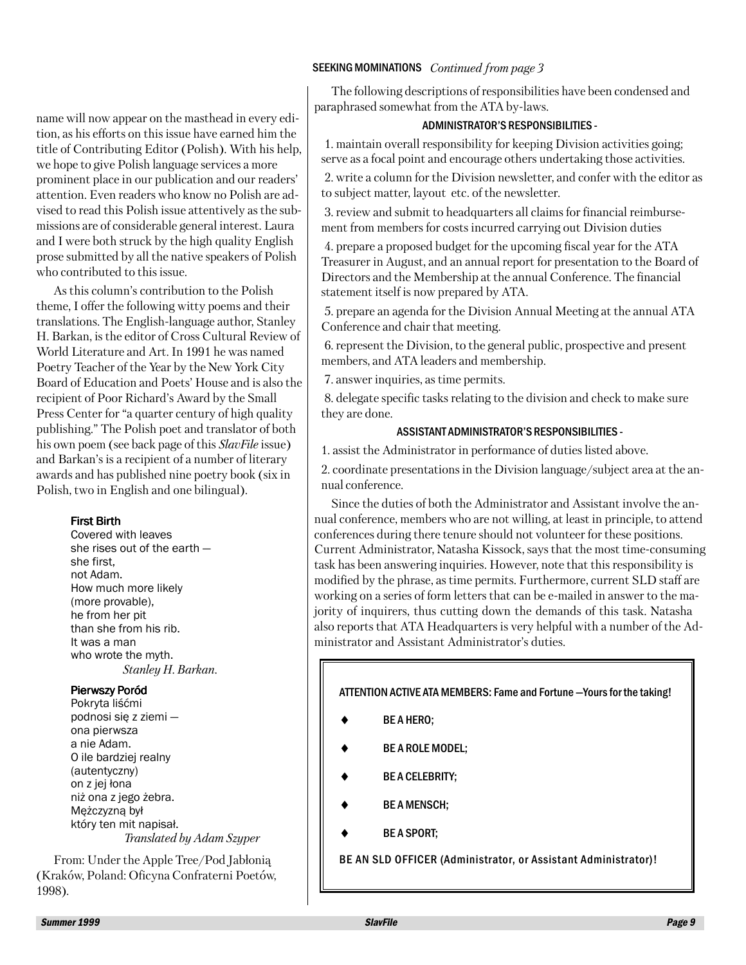#### SEEKING MOMINATIONS *Continued from page 3*

The following descriptions of responsibilities have been condensed and paraphrased somewhat from the ATA by-laws.

#### ADMINISTRATOR'S RESPONSIBILITIES -

1. maintain overall responsibility for keeping Division activities going; serve as a focal point and encourage others undertaking those activities.

2. write a column for the Division newsletter, and confer with the editor as to subject matter, layout etc. of the newsletter.

3. review and submit to headquarters all claims for financial reimbursement from members for costs incurred carrying out Division duties

4. prepare a proposed budget for the upcoming fiscal year for the ATA Treasurer in August, and an annual report for presentation to the Board of Directors and the Membership at the annual Conference. The financial statement itself is now prepared by ATA.

5. prepare an agenda for the Division Annual Meeting at the annual ATA Conference and chair that meeting.

6. represent the Division, to the general public, prospective and present members, and ATA leaders and membership.

7. answer inquiries, as time permits.

8. delegate specific tasks relating to the division and check to make sure they are done.

#### ASSISTANT ADMINISTRATOR'S RESPONSIBILITIES -

1. assist the Administrator in performance of duties listed above.

2. coordinate presentations in the Division language/subject area at the annual conference.

Since the duties of both the Administrator and Assistant involve the annual conference, members who are not willing, at least in principle, to attend conferences during there tenure should not volunteer for these positions. Current Administrator, Natasha Kissock, says that the most time-consuming task has been answering inquiries. However, note that this responsibility is modified by the phrase, as time permits. Furthermore, current SLD staff are working on a series of form letters that can be e-mailed in answer to the majority of inquirers, thus cutting down the demands of this task. Natasha also reports that ATA Headquarters is very helpful with a number of the Administrator and Assistant Administrator's duties.

ATTENTION ACTIVE ATA MEMBERS: Fame and Fortune —Yours for the taking!

- BE A HERO:
- BE A ROLE MODEL;
- **BE A CELEBRITY;**
- **BE A MENSCH:**
- **BE A SPORT:**

BE AN SLD OFFICER (Administrator, or Assistant Administrator)!

name will now appear on the masthead in every edition, as his efforts on this issue have earned him the title of Contributing Editor (Polish). With his help, we hope to give Polish language services a more prominent place in our publication and our readers' attention. Even readers who know no Polish are advised to read this Polish issue attentively as the submissions are of considerable general interest. Laura and I were both struck by the high quality English prose submitted by all the native speakers of Polish who contributed to this issue.

As this column's contribution to the Polish theme, I offer the following witty poems and their translations. The English-language author, Stanley H. Barkan, is the editor of Cross Cultural Review of World Literature and Art. In 1991 he was named Poetry Teacher of the Year by the New York City Board of Education and Poets' House and is also the recipient of Poor Richard's Award by the Small Press Center for "a quarter century of high quality publishing." The Polish poet and translator of both his own poem (see back page of this *SlavFile* issue) and Barkan's is a recipient of a number of literary awards and has published nine poetry book (six in Polish, two in English and one bilingual).

#### First Birth

Covered with leaves she rises out of the earth she first, not Adam. How much more likely (more provable), he from her pit than she from his rib. It was a man who wrote the myth. *Stanley H. Barkan.*

#### Pierwszy Poród

Pokryta liśćmi podnosi się z ziemi ona pierwsza a nie Adam. O ile bardziej realny (autentyczny) on z jej łona niż ona z jego żebra. Mężczyzną był który ten mit napisał. *Translated by Adam Szyper*

From: Under the Apple Tree/Pod Jabłonią (Kraków, Poland: Oficyna Confraterni Poetów, 1998).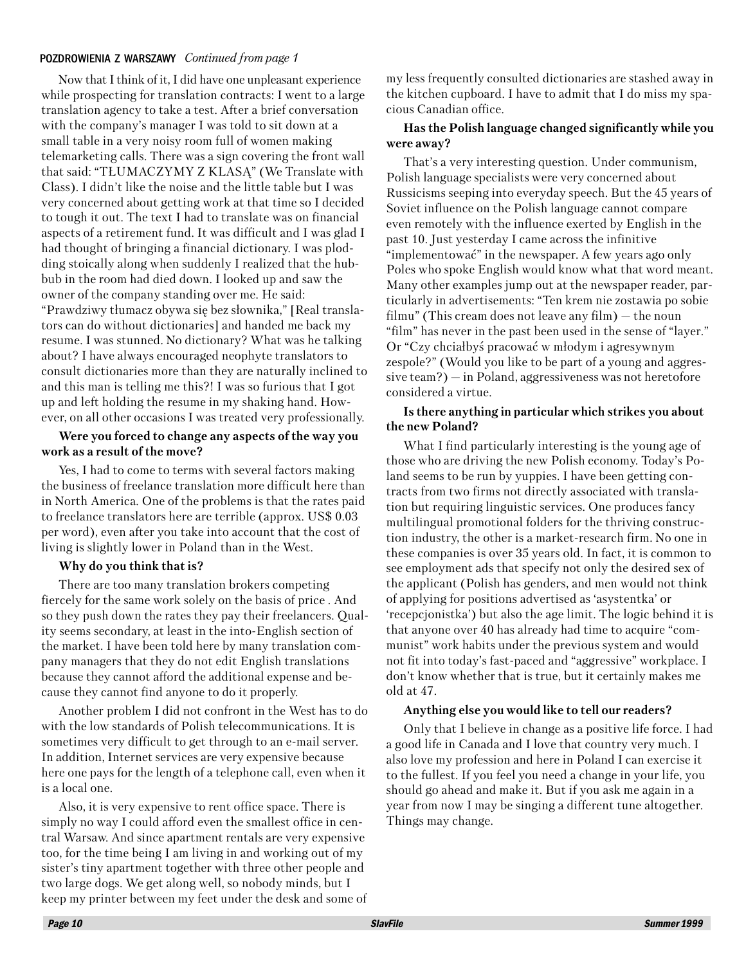#### POZDROWIENIA Z WARSZAWY *Continued from page 1*

Now that I think of it, I did have one unpleasant experience while prospecting for translation contracts: I went to a large translation agency to take a test. After a brief conversation with the company's manager I was told to sit down at a small table in a very noisy room full of women making telemarketing calls. There was a sign covering the front wall that said: "TŁUMACZYMY Z KLASĄ" (We Translate with Class). I didn't like the noise and the little table but I was very concerned about getting work at that time so I decided to tough it out. The text I had to translate was on financial aspects of a retirement fund. It was difficult and I was glad I had thought of bringing a financial dictionary. I was plodding stoically along when suddenly I realized that the hubbub in the room had died down. I looked up and saw the owner of the company standing over me. He said: "Prawdziwy tłumacz obywa się bez słownika," [Real translators can do without dictionaries] and handed me back my resume. I was stunned. No dictionary? What was he talking about? I have always encouraged neophyte translators to consult dictionaries more than they are naturally inclined to and this man is telling me this?! I was so furious that I got up and left holding the resume in my shaking hand. However, on all other occasions I was treated very professionally.

#### **Were you forced to change any aspects of the way you work as a result of the move?**

Yes, I had to come to terms with several factors making the business of freelance translation more difficult here than in North America. One of the problems is that the rates paid to freelance translators here are terrible (approx. US\$ 0.03 per word), even after you take into account that the cost of living is slightly lower in Poland than in the West.

#### **Why do you think that is?**

There are too many translation brokers competing fiercely for the same work solely on the basis of price . And so they push down the rates they pay their freelancers. Quality seems secondary, at least in the into-English section of the market. I have been told here by many translation company managers that they do not edit English translations because they cannot afford the additional expense and because they cannot find anyone to do it properly.

Another problem I did not confront in the West has to do with the low standards of Polish telecommunications. It is sometimes very difficult to get through to an e-mail server. In addition, Internet services are very expensive because here one pays for the length of a telephone call, even when it is a local one.

Also, it is very expensive to rent office space. There is simply no way I could afford even the smallest office in central Warsaw. And since apartment rentals are very expensive too, for the time being I am living in and working out of my sister's tiny apartment together with three other people and two large dogs. We get along well, so nobody minds, but I keep my printer between my feet under the desk and some of

my less frequently consulted dictionaries are stashed away in the kitchen cupboard. I have to admit that I do miss my spacious Canadian office.

#### **Has the Polish language changed significantly while you were away?**

That's a very interesting question. Under communism, Polish language specialists were very concerned about Russicisms seeping into everyday speech. But the 45 years of Soviet influence on the Polish language cannot compare even remotely with the influence exerted by English in the past 10. Just yesterday I came across the infinitive "implementować" in the newspaper. A few years ago only Poles who spoke English would know what that word meant. Many other examples jump out at the newspaper reader, particularly in advertisements: "Ten krem nie zostawia po sobie filmu" (This cream does not leave any film)  $-$  the noun "film" has never in the past been used in the sense of "layer." Or "Czy chciałbyś pracować w młodym i agresywnym zespole?" (Would you like to be part of a young and aggressive team?) – in Poland, aggressiveness was not heretofore considered a virtue.

#### **Is there anything in particular which strikes you about the new Poland?**

What I find particularly interesting is the young age of those who are driving the new Polish economy. Today's Poland seems to be run by yuppies. I have been getting contracts from two firms not directly associated with translation but requiring linguistic services. One produces fancy multilingual promotional folders for the thriving construction industry, the other is a market-research firm. No one in these companies is over 35 years old. In fact, it is common to see employment ads that specify not only the desired sex of the applicant (Polish has genders, and men would not think of applying for positions advertised as 'asystentka' or 'recepcjonistka') but also the age limit. The logic behind it is that anyone over 40 has already had time to acquire "communist" work habits under the previous system and would not fit into today's fast-paced and "aggressive" workplace. I don't know whether that is true, but it certainly makes me old at 47.

#### **Anything else you would like to tell our readers?**

Only that I believe in change as a positive life force. I had a good life in Canada and I love that country very much. I also love my profession and here in Poland I can exercise it to the fullest. If you feel you need a change in your life, you should go ahead and make it. But if you ask me again in a year from now I may be singing a different tune altogether. Things may change.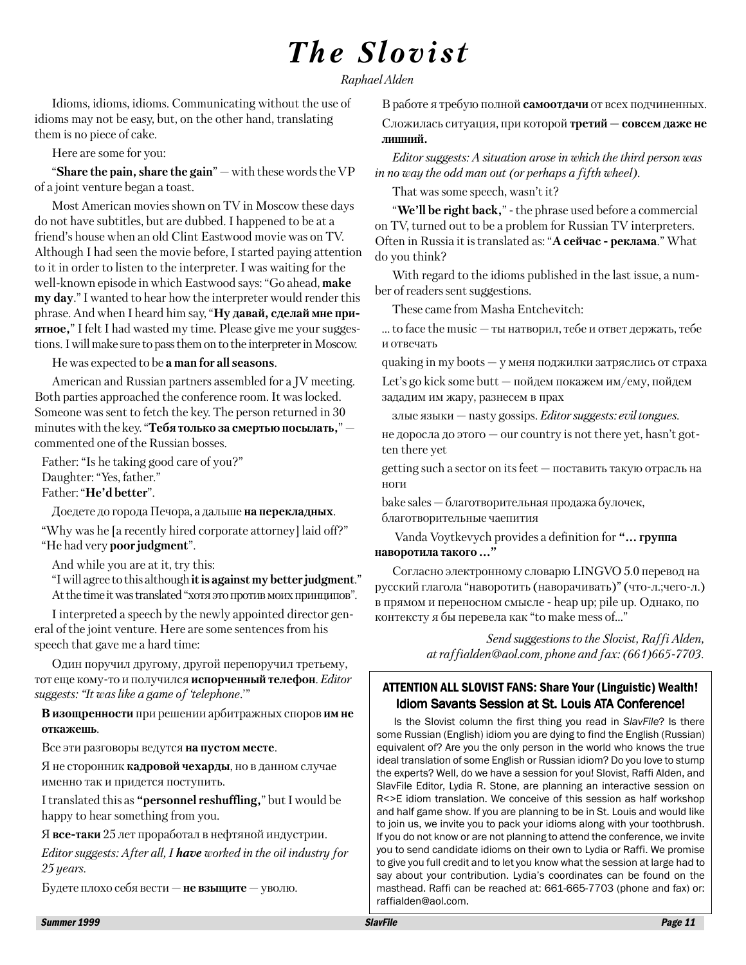## *The Slovist*

*Raphael Alden*

Idioms, idioms, idioms. Communicating without the use of idioms may not be easy, but, on the other hand, translating them is no piece of cake.

Here are some for you:

"**Share the pain, share the gain**" – with these words the VP of a joint venture began a toast.

Most American movies shown on TV in Moscow these days do not have subtitles, but are dubbed. I happened to be at a friend's house when an old Clint Eastwood movie was on TV. Although I had seen the movie before, I started paying attention to it in order to listen to the interpreter. I was waiting for the well-known episode in which Eastwood says: "Go ahead, **make my day**." I wanted to hear how the interpreter would render this phrase. And when I heard him say, "**Ну давай, сделай мне приятное,**" I felt I had wasted my time. Please give me your suggestions. I will make sure to pass them on to the interpreter in Moscow.

He was expected to be **a man for all seasons**.

American and Russian partners assembled for a JV meeting. Both parties approached the conference room. It was locked. Someone was sent to fetch the key. The person returned in 30 minutes with the key. "**Тебя только за смертью посылать,**" – commented one of the Russian bosses.

Father: "Is he taking good care of you?" Daughter: "Yes, father." Father: "**He'd better**".

Доедете до города Печора, а дальше **на перекладных**.

"Why was he [a recently hired corporate attorney] laid off?" "He had very **poor judgment**".

And while you are at it, try this:

"I will agree to this although **it is against my better judgment**." At the time it was translated "хотя это против моих принципов".

I interpreted a speech by the newly appointed director general of the joint venture. Here are some sentences from his speech that gave me a hard time:

Один поручил другому, другой перепоручил третьему, тот еще кому-то и получился **испорченный телефон**. *Editor suggests: "It was like a game of 'telephone*.'"

**В изощренности** при решении арбитражных споров **им не откажешь**.

Все эти разговоры ведутся **на пустом месте**.

Я не сторонник **кадровой чехарды**, но в данном случае именно так и придется поступить.

I translated this as **"personnel reshuffling,**" but I would be happy to hear something from you.

Я **все-таки** 25 лет проработал в нефтяной индустрии.

*Editor suggests: After all, I have worked in the oil industry for 25 years.*

Будете плохо себя вести – **не взыщите** – уволю.

В работе я требую полной **самоотдачи** от всех подчиненных.

Сложилась ситуация, при которой **третий – совсем даже не лишний.**

*Editor suggests: A situation arose in which the third person was in no way the odd man out (or perhaps a fifth wheel).*

That was some speech, wasn't it?

"**We'll be right back,**" - the phrase used before a commercial on TV, turned out to be a problem for Russian TV interpreters. Often in Russia it is translated as: "**А сейчас - реклама**." What do you think?

With regard to the idioms published in the last issue, a number of readers sent suggestions.

These came from Masha Entchevitch:

 $\dots$  to face the music  $-$  ты натворил, тебе и ответ держать, тебе и отвечать

quaking in my boots  $-$  у меня поджилки затряслись от страха

Let's go kick some butt – пойдем покажем им/ему, пойдем зададим им жару, разнесем в прах

злые языки – nasty gossips. *Editor suggests: evil tongues.*

не доросла до этого – our country is not there yet, hasn't gotten there yet

getting such a sector on its feet – поставить такую отрасль на ноги

bake sales – благотворительная продажа булочек, благотворительные чаепития

 Vanda Voytkevych provides a definition for **"… группа наворотила такого …"**

Согласно электронному словарю LINGVO 5.0 перевод на русский глагола "наворотить (наворачивать)" (что-л.;чего-л.) в прямом и переносном смысле - heap up; pile up. Однако, по контексту я бы перевела как "to make mess of…"

> *Send suggestions to the Slovist, Raffi Alden, at raffialden@aol.com, phone and fax: (661)665-7703.*

#### ATTENTION ALL SLOVIST FANS: Share Your (Linguistic) Wealth! Idiom Savants Session at St. Louis ATA Conference!

Is the Slovist column the first thing you read in *SlavFile*? Is there some Russian (English) idiom you are dying to find the English (Russian) equivalent of? Are you the only person in the world who knows the true ideal translation of some English or Russian idiom? Do you love to stump the experts? Well, do we have a session for you! Slovist, Raffi Alden, and SlavFile Editor, Lydia R. Stone, are planning an interactive session on R<>E idiom translation. We conceive of this session as half workshop and half game show. If you are planning to be in St. Louis and would like to join us, we invite you to pack your idioms along with your toothbrush. If you do not know or are not planning to attend the conference, we invite you to send candidate idioms on their own to Lydia or Raffi. We promise to give you full credit and to let you know what the session at large had to say about your contribution. Lydia's coordinates can be found on the masthead. Raffi can be reached at: 661-665-7703 (phone and fax) or: raffialden@aol.com.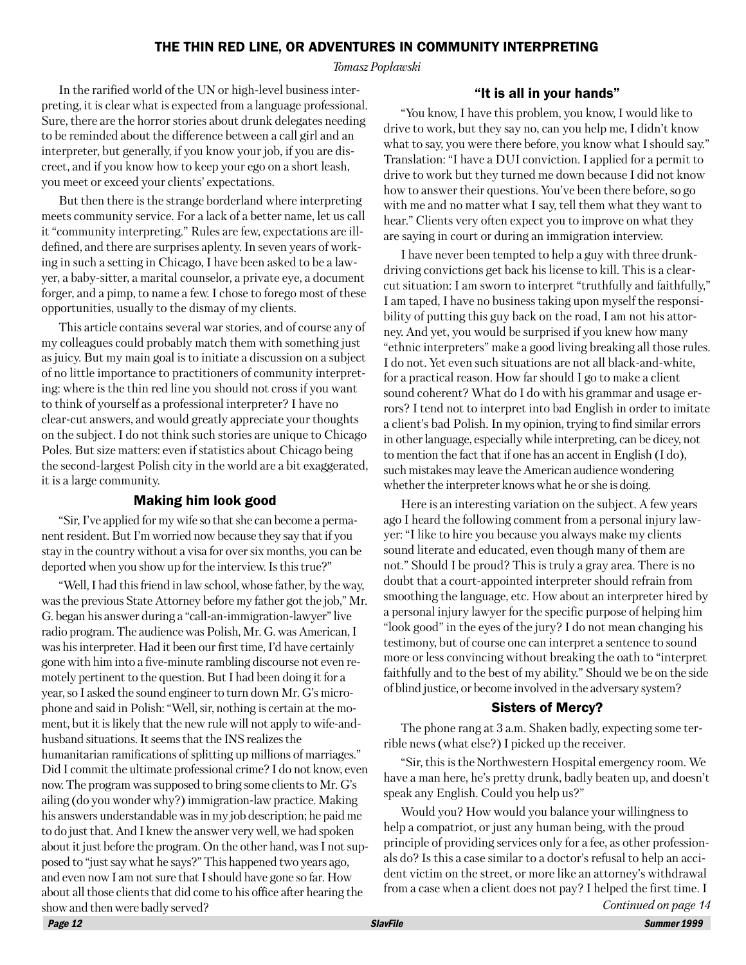#### THE THIN RED LINE, OR ADVENTURES IN COMMUNITY INTERPRETING

*Tomasz Popławski*

In the rarified world of the UN or high-level business interpreting, it is clear what is expected from a language professional. Sure, there are the horror stories about drunk delegates needing to be reminded about the difference between a call girl and an interpreter, but generally, if you know your job, if you are discreet, and if you know how to keep your ego on a short leash, you meet or exceed your clients' expectations.

But then there is the strange borderland where interpreting meets community service. For a lack of a better name, let us call it "community interpreting." Rules are few, expectations are illdefined, and there are surprises aplenty. In seven years of working in such a setting in Chicago, I have been asked to be a lawyer, a baby-sitter, a marital counselor, a private eye, a document forger, and a pimp, to name a few. I chose to forego most of these opportunities, usually to the dismay of my clients.

This article contains several war stories, and of course any of my colleagues could probably match them with something just as juicy. But my main goal is to initiate a discussion on a subject of no little importance to practitioners of community interpreting: where is the thin red line you should not cross if you want to think of yourself as a professional interpreter? I have no clear-cut answers, and would greatly appreciate your thoughts on the subject. I do not think such stories are unique to Chicago Poles. But size matters: even if statistics about Chicago being the second-largest Polish city in the world are a bit exaggerated, it is a large community.

#### Making him look good

"Sir, I've applied for my wife so that she can become a permanent resident. But I'm worried now because they say that if you stay in the country without a visa for over six months, you can be deported when you show up for the interview. Is this true?"

"Well, I had this friend in law school, whose father, by the way, was the previous State Attorney before my father got the job," Mr. G. began his answer during a "call-an-immigration-lawyer" live radio program. The audience was Polish, Mr. G. was American, I was his interpreter. Had it been our first time, I'd have certainly gone with him into a five-minute rambling discourse not even remotely pertinent to the question. But I had been doing it for a year, so I asked the sound engineer to turn down Mr. G's microphone and said in Polish: "Well, sir, nothing is certain at the moment, but it is likely that the new rule will not apply to wife-andhusband situations. It seems that the INS realizes the humanitarian ramifications of splitting up millions of marriages." Did I commit the ultimate professional crime? I do not know, even now. The program was supposed to bring some clients to Mr. G's ailing (do you wonder why?) immigration-law practice. Making his answers understandable was in my job description; he paid me to do just that. And I knew the answer very well, we had spoken about it just before the program. On the other hand, was I not supposed to "just say what he says?" This happened two years ago, and even now I am not sure that I should have gone so far. How about all those clients that did come to his office after hearing the show and then were badly served?

#### "It is all in your hands"

"You know, I have this problem, you know, I would like to drive to work, but they say no, can you help me, I didn't know what to say, you were there before, you know what I should say." Translation: "I have a DUI conviction. I applied for a permit to drive to work but they turned me down because I did not know how to answer their questions. You've been there before, so go with me and no matter what I say, tell them what they want to hear." Clients very often expect you to improve on what they are saying in court or during an immigration interview.

I have never been tempted to help a guy with three drunkdriving convictions get back his license to kill. This is a clearcut situation: I am sworn to interpret "truthfully and faithfully," I am taped, I have no business taking upon myself the responsibility of putting this guy back on the road, I am not his attorney. And yet, you would be surprised if you knew how many "ethnic interpreters" make a good living breaking all those rules. I do not. Yet even such situations are not all black-and-white, for a practical reason. How far should I go to make a client sound coherent? What do I do with his grammar and usage errors? I tend not to interpret into bad English in order to imitate a client's bad Polish. In my opinion, trying to find similar errors in other language, especially while interpreting, can be dicey, not to mention the fact that if one has an accent in English (I do), such mistakes may leave the American audience wondering whether the interpreter knows what he or she is doing.

Here is an interesting variation on the subject. A few years ago I heard the following comment from a personal injury lawyer: "I like to hire you because you always make my clients sound literate and educated, even though many of them are not." Should I be proud? This is truly a gray area. There is no doubt that a court-appointed interpreter should refrain from smoothing the language, etc. How about an interpreter hired by a personal injury lawyer for the specific purpose of helping him "look good" in the eyes of the jury? I do not mean changing his testimony, but of course one can interpret a sentence to sound more or less convincing without breaking the oath to "interpret faithfully and to the best of my ability." Should we be on the side of blind justice, or become involved in the adversary system?

#### Sisters of Mercy?

The phone rang at 3 a.m. Shaken badly, expecting some terrible news (what else?) I picked up the receiver.

"Sir, this is the Northwestern Hospital emergency room. We have a man here, he's pretty drunk, badly beaten up, and doesn't speak any English. Could you help us?"

Would you? How would you balance your willingness to help a compatriot, or just any human being, with the proud principle of providing services only for a fee, as other professionals do? Is this a case similar to a doctor's refusal to help an accident victim on the street, or more like an attorney's withdrawal from a case when a client does not pay? I helped the first time. I *Continued on page 14*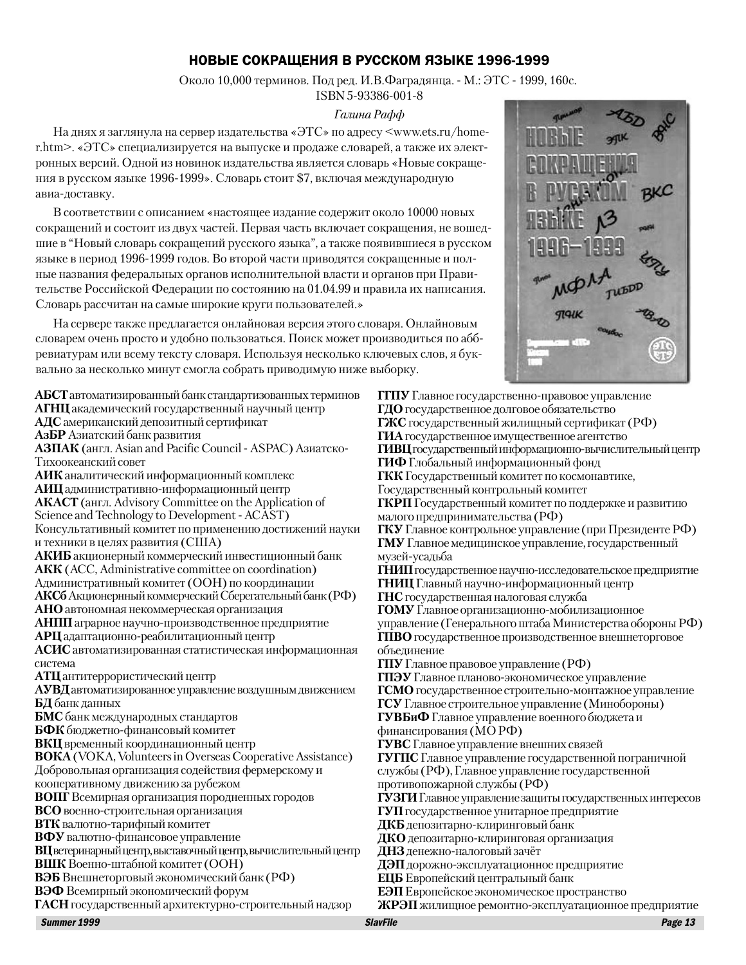#### НОВЫЕ СОКРАЩЕНИЯ В РУССКОМ ЯЗЫКЕ 1996-1999

Около 10,000 терминов. Под ред. И.В.Фаградянца. - М.: ЭТС - 1999, 160с.

#### ISBN 5-93386-001-8 *Галина Рафф*

На днях я заглянула на сервер издательства «ЭТС» по адресу <www.ets.ru/homer.htm>. «ЭТС» специализируется на выпуске и продаже словарей, а также их электронных версий. Одной из новинок издательства является словарь «Новые сокращения в русском языке 1996-1999». Словарь стоит \$7, включая международную авиа-доставку.

В соответствии с описанием «настоящее издание содержит около 10000 новых сокращений и состоит из двух частей. Первая часть включает сокращения, не вошедшие в "Новый словарь сокращений русского языка", а также появившиеся в русском языке в период 1996-1999 годов. Во второй части приводятся сокращенные и полные названия федеральных органов исполнительной власти и органов при Правительстве Российской Федерации по состоянию на 01.04.99 и правила их написания. Словарь рассчитан на самые широкие круги пользователей.»

На сервере также предлагается онлайновая версия этого словаря. Онлайновым словарем очень просто и удобно пользоваться. Поиск может производиться по аббревиатурам или всему тексту словаря. Используя несколько ключевых слов, я буквально за несколько минут смогла собрать приводимую ниже выборку.

**АБСТ** автоматизированный банк стандартизованных терминов **АГНЦ** академический государственный научный центр **АДС** американский депозитный сертификат **АзБР** Азиатский банк развития **АЗПАК** (англ. Asian and Pacific Council - ASPAC) Азиатско-Тихоокеанскийсовет **АИК** аналитический информационный комплекс **АИЦ** административно-информационный центр **АКАСТ** (англ. Advisory Committee on the Application of Science and Technology to Development - ACAST) Консультативный комитет по применению достижений науки и техники в целях развития (США) **АКИБ** акционерный коммерческий инвестиционный банк **АКК** (ACC, Administrative committee on coordination) Административный комитет (ООН) по координации **АКСб**АкционернныйкоммерческийСберегательныйбанк (РФ) **АНО** автономная некоммерческая организация **АНПП** аграрное научно-производственное предприятие **АРЦ** адаптационно-реабилитационныйцентр **АСИС**автоматизированная статистическаяинформационная система **АТЦ** антитеррористический центр **АУВД**автоматизированноеуправлениевоздушнымдвижением **БД** банк данных **БМС** банк международных стандартов **БФК** бюджетно-финансовый комитет **ВКЦ** временный координационный центр **ВОКА** (VOKA, Volunteers in Overseas Cooperative Assistance) Добровольная организация содействия фермерскому и кооперативному движению за рубежом **ВОПГ** Всемирная организация породненных городов **ВСО** военно-строительная организация **ВТК** валютно-тарифный комитет **ВФУ**валютно-финансовоеуправление **ВЦ**ветеринарныйцентр, выставочныйцентр, вычислительныйцентр **ВШК**Военно-штабнойкомитет (ООН) **ВЭБ** Внешнеторговыйэкономическийбанк (РФ) **ВЭФ**Всемирный экономический форум **ГАСН** государственныйархитектурно-строительныйнадзор



**ГГПУ**Главное государственно-правовое управление **ГДО** государственное долговое обязательство ГЖС государственный жилищный сертификат (РФ) **ГИА**государственноеимущественное агентство **ГИВЦ** государственный информационно-вычислительный центр **ГИФ**Глобальный информационный фонд **ГКК** Государственный комитет по космонавтике, Государственный контрольный комитет **ГКРП** Государственный комитет по поддержке и развитию малогопредпринимательства (РФ) **ГКУ** Главное контрольное управление (при Президенте РФ) **ГМУ**Главноемедицинское управление, государственный музей-усадьба **ГНИП**государственноенаучно-исследовательскоепредприятие **ГНИЦ** Главный научно-информационный центр **ГНС** государственная налоговая служба **ГОМУ**Главноеорганизационно-мобилизационное управление (Генерального штаба Министерства обороны РФ) **ГПВО** государственноепроизводственное внешнеторговое объединение **ГПУ**Главноеправовое управление (РФ) **ГПЭУ**Главноепланово-экономическое управление **ГСМО** государственное строительно-монтажноеуправление **ГСУ**Главное строительное управление (Минобороны) **ГУВБиФ**Главное управление военного бюджетаи финансирования (МОРФ) **ГУВС**Главноеуправление внешних связей **ГУГПС** Главное управление государственной пограничной службы (РФ), Главное управление государственной противопожарной службы (РФ) ГУЗГИ Главное управление защиты государственных интересов **ГУП** государственное унитарное предприятие **ДКБ** депозитарно-клиринговый банк **ДКО** депозитарно-клиринговая организация **ДНЗ**денежно-налоговыйзачёт **ДЭП** дорожно-эксплуатационноепредприятие **ЕЦБ** Европейский центральный банк **ЕЭП** Европейское экономическое пространство ЖРЭП жилищное ремонтно-эксплуатационное предприятие

Summer 1999 SlavFile Page 13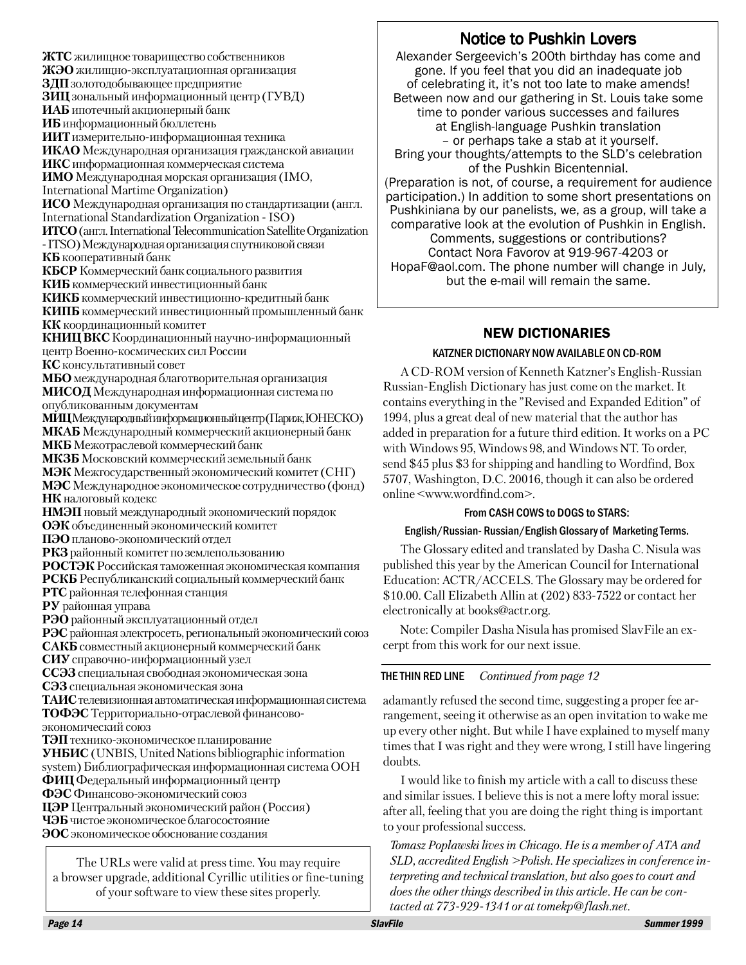**ЖТС** жилищное товарищество собственников **ЖЭО** жилищно-эксплуатационная организация **ЗДП** золотодобывающее предприятие **ЗИЦ** зональный информационный центр (ГУВД) **ИАБ** ипотечный акционерный банк **ИБ** информационный бюллетень **ИИТ**измерительно-информационная техника **ИКАО** Международная организация гражданской авиации **ИКС**информационная коммерческая система **ИМО** Международная морская организация (IMO, International Martime Organization) **ИСО** Международная организация по стандартизации (англ. International Standardization Organization - ISO) **ИТСО** (англ. International Telecommunication Satellite Organization - ITSO) Международнаяорганизацияспутниковойсвязи **КБ** кооперативный банк **КБСР** Коммерческий банк социального развития **КИБ** коммерческий инвестиционный банк **КИКБ** коммерческий инвестиционно-кредитный банк **КИПБ** коммерческий инвестиционный промышленный банк **КК** координационный комитет **КНИЦ ВКС** Координационный научно-информационный центр Военно-космических сил России **КС** консультативный совет **МБО** международная благотворительная организация **МИСОД**Международная информационная система по опубликованным локументам **МИЦ**Международныйинформационныйцентр (Париж, ЮНЕСКО) **МКАБ**Международный коммерческий акционерный банк **МКБ** Межотраслевой коммерческий банк **МКЗБ** Московский коммерческий земельный банк **МЭК** Межгосударственный экономический комитет (СНГ) **МЭС**Международное экономическое сотрудничество (фонд) **НК** налоговый колекс **НМЭП** новый международный экономический порядок **ОЭК** объединенный экономический комитет **ПЭО** планово-экономическийотдел РКЗ районный комитет по землепользованию **РОСТЭК**Российская таможенная экономическая компания **РСКБ** Республиканский социальный коммерческий банк **РТС** районная телефонная станция **РУ** районная управа **РЭО** районныйэксплуатационный отдел РЭС районная электросеть, региональный экономический союз **САКБ** совместныйакционерный коммерческий банк **СИУ**справочно-информационныйузел **ССЭЗ**специальная свободная экономическая зона **СЭЗ** специальная экономическая зона **ТАИС**телевизионнаяавтоматическаяинформационнаясистема **ТОФЭС** Территориально-отраслевой финансовоэкономический союз **ТЭП** технико-экономическоепланирование **УНБИС** (UNBIS, United Nations bibliographic information system) Библиографическая информационная система ООН **ФИЦ** Федеральный информационный центр **ФЭС** Финансово-экономический союз **ЦЭР** Центральный экономический район (Россия) **ЧЭБ**чистое экономическое благосостояние **ЭОС**экономическое обоснование создания

The URLs were valid at press time. You may require a browser upgrade, additional Cyrillic utilities or fine-tuning of your software to view these sites properly.

## Notice to Pushkin Lovers

Alexander Sergeevich's 200th birthday has come and gone. If you feel that you did an inadequate job of celebrating it, it's not too late to make amends! Between now and our gathering in St. Louis take some time to ponder various successes and failures at English-language Pushkin translation – or perhaps take a stab at it yourself. Bring your thoughts/attempts to the SLD's celebration of the Pushkin Bicentennial. (Preparation is not, of course, a requirement for audience participation.) In addition to some short presentations on Pushkiniana by our panelists, we, as a group, will take a comparative look at the evolution of Pushkin in English. Comments, suggestions or contributions? Contact Nora Favorov at 919-967-4203 or HopaF@aol.com. The phone number will change in July, but the e-mail will remain the same.

## NEW DICTIONARIES

#### KATZNER DICTIONARY NOW AVAILABLE ON CD-ROM

A CD-ROM version of Kenneth Katzner's English-Russian Russian-English Dictionary has just come on the market. It contains everything in the "Revised and Expanded Edition" of 1994, plus a great deal of new material that the author has added in preparation for a future third edition. It works on a PC with Windows 95, Windows 98, and Windows NT. To order, send \$45 plus \$3 for shipping and handling to Wordfind, Box 5707, Washington, D.C. 20016, though it can also be ordered online <www.wordfind.com>.

#### From CASH COWS to DOGS to STARS:

#### English/Russian- Russian/English Glossary of Marketing Terms.

The Glossary edited and translated by Dasha C. Nisula was published this year by the American Council for International Education: ACTR/ACCELS. The Glossary may be ordered for \$10.00. Call Elizabeth Allin at (202) 833-7522 or contact her electronically at books@actr.org.

Note: Compiler Dasha Nisula has promised SlavFile an excerpt from this work for our next issue.

#### THE THIN RED LINE *Continued from page 12*

adamantly refused the second time, suggesting a proper fee arrangement, seeing it otherwise as an open invitation to wake me up every other night. But while I have explained to myself many times that I was right and they were wrong, I still have lingering doubts.

I would like to finish my article with a call to discuss these and similar issues. I believe this is not a mere lofty moral issue: after all, feeling that you are doing the right thing is important to your professional success.

*Tomasz Popławski lives in Chicago. He is a member of ATA and SLD, accredited English >Polish. He specializes in conference interpreting and technical translation, but also goes to court and does the other things described in this article. He can be contacted at 773-929-1341 or at tomekp@flash.net.*